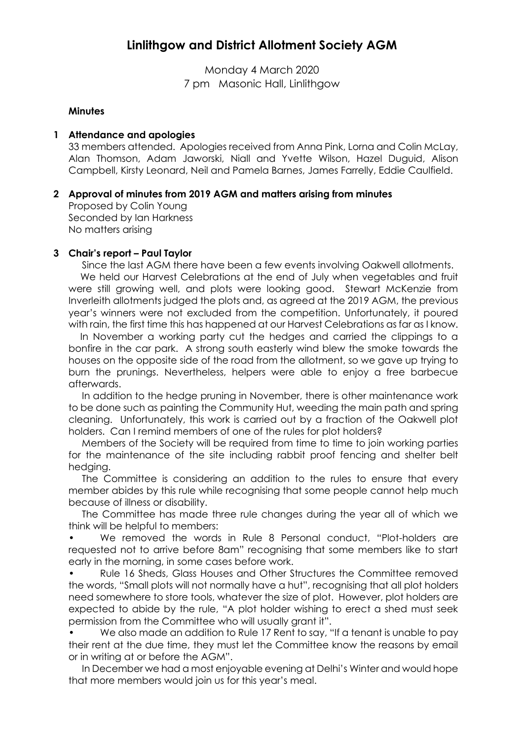# **Linlithgow and District Allotment Society AGM**

Monday 4 March 2020 7 pm Masonic Hall, Linlithgow

#### **Minutes**

#### **1 Attendance and apologies**

33 members attended. Apologies received from Anna Pink, Lorna and Colin McLay, Alan Thomson, Adam Jaworski, Niall and Yvette Wilson, Hazel Duguid, Alison Campbell, Kirsty Leonard, Neil and Pamela Barnes, James Farrelly, Eddie Caulfield.

### **2 Approval of minutes from 2019 AGM and matters arising from minutes**

Proposed by Colin Young Seconded by Ian Harkness No matters arising

### **3 Chair's report – Paul Taylor**

Since the last AGM there have been a few events involving Oakwell allotments.

 We held our Harvest Celebrations at the end of July when vegetables and fruit were still growing well, and plots were looking good. Stewart McKenzie from Inverleith allotments judged the plots and, as agreed at the 2019 AGM, the previous year's winners were not excluded from the competition. Unfortunately, it poured with rain, the first time this has happened at our Harvest Celebrations as far as I know.

 In November a working party cut the hedges and carried the clippings to a bonfire in the car park. A strong south easterly wind blew the smoke towards the houses on the opposite side of the road from the allotment, so we gave up trying to burn the prunings. Nevertheless, helpers were able to enjoy a free barbecue afterwards.

 In addition to the hedge pruning in November, there is other maintenance work to be done such as painting the Community Hut, weeding the main path and spring cleaning. Unfortunately, this work is carried out by a fraction of the Oakwell plot holders. Can I remind members of one of the rules for plot holders?

 Members of the Society will be required from time to time to join working parties for the maintenance of the site including rabbit proof fencing and shelter belt hedging.

 The Committee is considering an addition to the rules to ensure that every member abides by this rule while recognising that some people cannot help much because of illness or disability.

 The Committee has made three rule changes during the year all of which we think will be helpful to members:

• We removed the words in Rule 8 Personal conduct, "Plot-holders are requested not to arrive before 8am" recognising that some members like to start early in the morning, in some cases before work.

• Rule 16 Sheds, Glass Houses and Other Structures the Committee removed the words, "Small plots will not normally have a hut", recognising that all plot holders need somewhere to store tools, whatever the size of plot. However, plot holders are expected to abide by the rule, "A plot holder wishing to erect a shed must seek permission from the Committee who will usually grant it".

• We also made an addition to Rule 17 Rent to say, "If a tenant is unable to pay their rent at the due time, they must let the Committee know the reasons by email or in writing at or before the AGM".

 In December we had a most enjoyable evening at Delhi's Winter and would hope that more members would join us for this year's meal.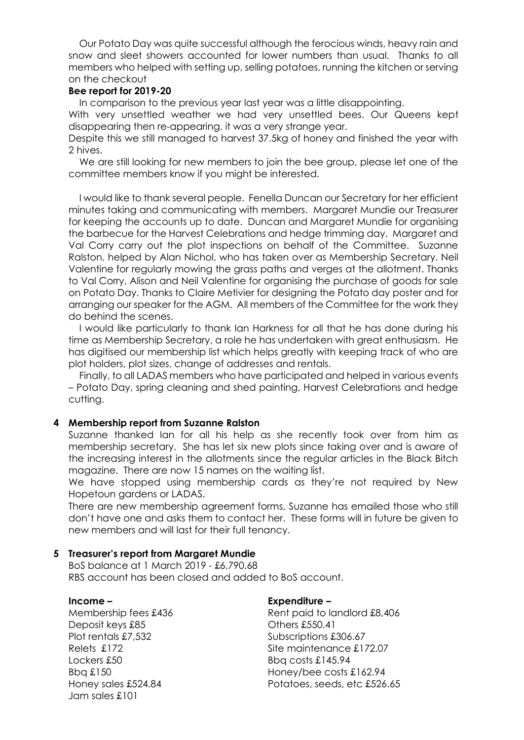Our Potato Day was quite successful although the ferocious winds, heavy rain and snow and sleet showers accounted for lower numbers than usual. Thanks to all members who helped with setting up, selling potatoes, running the kitchen or serving on the checkout

#### **Bee report for 2019-20**

In comparison to the previous year last year was a little disappointing.

With very unsettled weather we had very unsettled bees. Our Queens kept disappearing then re-appearing, it was a very strange year.

Despite this we still managed to harvest 37.5kg of honey and finished the year with 2 hives.

We are still looking for new members to join the bee group, please let one of the committee members know if you might be interested.

 I would like to thank several people. Fenella Duncan our Secretary for her efficient minutes taking and communicating with members. Margaret Mundie our Treasurer for keeping the accounts up to date. Duncan and Margaret Mundie for organising the barbecue for the Harvest Celebrations and hedge trimming day. Margaret and Val Corry carry out the plot inspections on behalf of the Committee. Suzanne Ralston, helped by Alan Nichol, who has taken over as Membership Secretary. Neil Valentine for regularly mowing the grass paths and verges at the allotment. Thanks to Val Corry, Alison and Neil Valentine for organising the purchase of goods for sale on Potato Day. Thanks to Claire Metivier for designing the Potato day poster and for arranging our speaker for the AGM. All members of the Committee for the work they do behind the scenes.

 I would like particularly to thank Ian Harkness for all that he has done during his time as Membership Secretary, a role he has undertaken with great enthusiasm. He has digitised our membership list which helps greatly with keeping track of who are plot holders, plot sizes, change of addresses and rentals.

 Finally, to all LADAS members who have participated and helped in various events – Potato Day, spring cleaning and shed painting, Harvest Celebrations and hedge cutting.

#### **4 Membership report from Suzanne Ralston**

Suzanne thanked Ian for all his help as she recently took over from him as membership secretary. She has let six new plots since taking over and is aware of the increasing interest in the allotments since the regular articles in the Black Bitch magazine. There are now 15 names on the waiting list.

We have stopped using membership cards as they're not required by New Hopetoun gardens or LADAS.

There are new membership agreement forms, Suzanne has emailed those who still don't have one and asks them to contact her. These forms will in future be given to new members and will last for their full tenancy.

#### **5 Treasurer's report from Margaret Mundie**

BoS balance at 1 March 2019 - £6,790.68 RBS account has been closed and added to BoS account.

#### **Income –**

Membership fees £436 Deposit keys £85 Plot rentals £7,532 Relets £172 Lockers £50 Bbq £150 Honey sales £524.84 Jam sales £101

#### **Expenditure –**

Rent paid to landlord £8,406 Others £550.41 Subscriptions £306.67 Site maintenance £172.07 Bbq costs £145.94 Honey/bee costs £162.94 Potatoes, seeds, etc £526.65